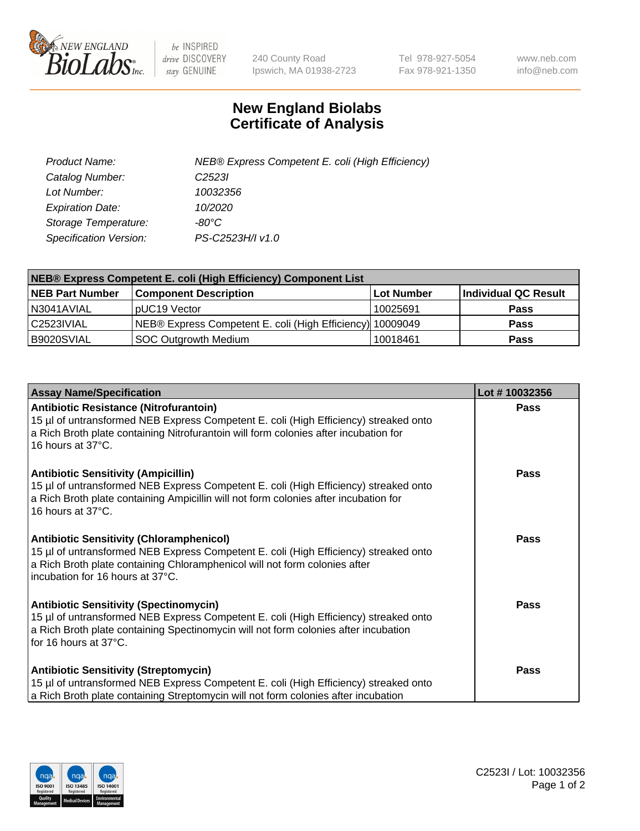

 $be$  INSPIRED drive DISCOVERY stay GENUINE

240 County Road Ipswich, MA 01938-2723 Tel 978-927-5054 Fax 978-921-1350 www.neb.com info@neb.com

## **New England Biolabs Certificate of Analysis**

| Product Name:           | NEB® Express Competent E. coli (High Efficiency) |
|-------------------------|--------------------------------------------------|
| Catalog Number:         | C <sub>2523</sub>                                |
| Lot Number:             | 10032356                                         |
| <b>Expiration Date:</b> | 10/2020                                          |
| Storage Temperature:    | -80°C                                            |
| Specification Version:  | PS-C2523H/I v1.0                                 |

| <b>NEB® Express Competent E. coli (High Efficiency) Component List</b> |                                                           |            |                      |  |
|------------------------------------------------------------------------|-----------------------------------------------------------|------------|----------------------|--|
| <b>NEB Part Number</b>                                                 | <b>Component Description</b>                              | Lot Number | Individual QC Result |  |
| N3041AVIAL                                                             | pUC19 Vector                                              | 10025691   | <b>Pass</b>          |  |
| C2523IVIAL                                                             | NEB® Express Competent E. coli (High Efficiency) 10009049 |            | <b>Pass</b>          |  |
| B9020SVIAL                                                             | SOC Outgrowth Medium                                      | 10018461   | <b>Pass</b>          |  |

| <b>Assay Name/Specification</b>                                                                                                                                                                                                                           | Lot #10032356 |
|-----------------------------------------------------------------------------------------------------------------------------------------------------------------------------------------------------------------------------------------------------------|---------------|
| Antibiotic Resistance (Nitrofurantoin)<br>15 µl of untransformed NEB Express Competent E. coli (High Efficiency) streaked onto<br>a Rich Broth plate containing Nitrofurantoin will form colonies after incubation for<br>16 hours at 37°C.               | <b>Pass</b>   |
| <b>Antibiotic Sensitivity (Ampicillin)</b><br>15 µl of untransformed NEB Express Competent E. coli (High Efficiency) streaked onto<br>a Rich Broth plate containing Ampicillin will not form colonies after incubation for<br>16 hours at 37°C.           | Pass          |
| <b>Antibiotic Sensitivity (Chloramphenicol)</b><br>15 µl of untransformed NEB Express Competent E. coli (High Efficiency) streaked onto<br>a Rich Broth plate containing Chloramphenicol will not form colonies after<br>incubation for 16 hours at 37°C. | Pass          |
| <b>Antibiotic Sensitivity (Spectinomycin)</b><br>15 µl of untransformed NEB Express Competent E. coli (High Efficiency) streaked onto<br>a Rich Broth plate containing Spectinomycin will not form colonies after incubation<br>for 16 hours at 37°C.     | <b>Pass</b>   |
| <b>Antibiotic Sensitivity (Streptomycin)</b><br>15 µl of untransformed NEB Express Competent E. coli (High Efficiency) streaked onto<br>a Rich Broth plate containing Streptomycin will not form colonies after incubation                                | Pass          |